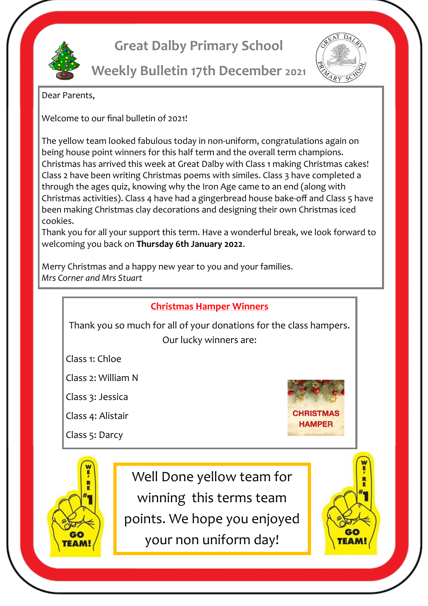

## **Great Dalby Primary School**



**Weekly Bulletin 17th December 2021**

Dear Parents,

Welcome to our final bulletin of 2021!

The yellow team looked fabulous today in non-uniform, congratulations again on being house point winners for this half term and the overall term champions. Christmas has arrived this week at Great Dalby with Class 1 making Christmas cakes! Class 2 have been writing Christmas poems with similes. Class 3 have completed a through the ages quiz, knowing why the Iron Age came to an end (along with Christmas activities). Class 4 have had a gingerbread house bake-off and Class 5 have been making Christmas clay decorations and designing their own Christmas iced cookies.

Thank you for all your support this term. Have a wonderful break, we look forward to welcoming you back on **Thursday 6th January 2022**.

Merry Christmas and a happy new year to you and your families. *Mrs Corner and Mrs Stuart*



Thank you so much for all of your donations for the class hampers. Our lucky winners are:

Class 1: Chloe

Class 2: William N

Class 3: Jessica

Class 4: Alistair

Class 5: Darcy

GС

**TEAM** 



Well Done yellow team for winning this terms team points. We hope you enjoyed your non uniform day!

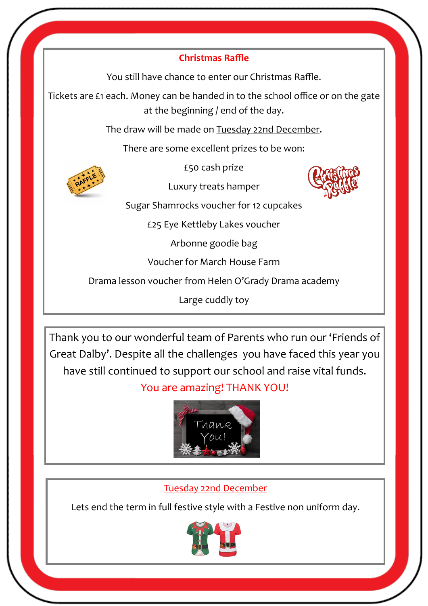## **Christmas Raffle**

You still have chance to enter our Christmas Raffle.

Tickets are £1 each. Money can be handed in to the school office or on the gate at the beginning / end of the day.

The draw will be made on Tuesday 22nd December.

There are some excellent prizes to be won:

£50 cash prize



Luxury treats hamper



Sugar Shamrocks voucher for 12 cupcakes

£25 Eye Kettleby Lakes voucher

Arbonne goodie bag

Voucher for March House Farm

Drama lesson voucher from Helen O'Grady Drama academy

Large cuddly toy

Thank you to our wonderful team of Parents who run our 'Friends of Great Dalby'. Despite all the challenges you have faced this year you have still continued to support our school and raise vital funds.

## You are amazing! THANK YOU!



## Tuesday 22nd December

Lets end the term in full festive style with a Festive non uniform day.